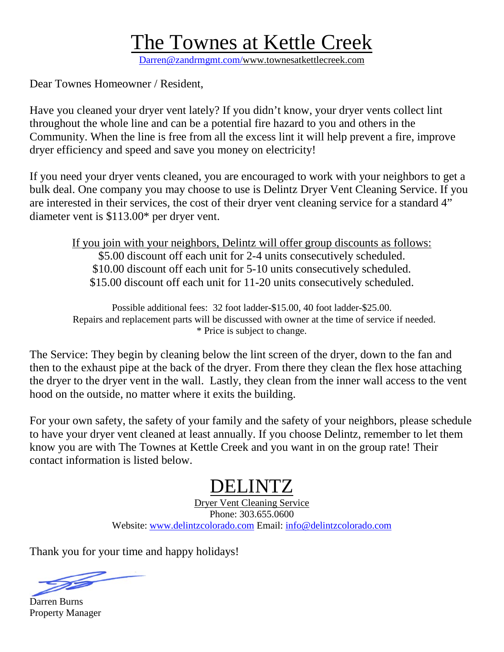#### The Townes at Kettle Creek

Darren@zandrmgmt.com/www.townesatkettlecreek.com

Dear Townes Homeowner / Resident,

Have you cleaned your dryer vent lately? If you didn't know, your dryer vents collect lint throughout the whole line and can be a potential fire hazard to you and others in the Community. When the line is free from all the excess lint it will help prevent a fire, improve dryer efficiency and speed and save you money on electricity!

If you need your dryer vents cleaned, you are encouraged to work with your neighbors to get a bulk deal. One company you may choose to use is Delintz Dryer Vent Cleaning Service. If you are interested in their services, the cost of their dryer vent cleaning service for a standard 4" diameter vent is \$113.00\* per dryer vent.

If you join with your neighbors, Delintz will offer group discounts as follows: \$5.00 discount off each unit for 2-4 units consecutively scheduled. \$10.00 discount off each unit for 5-10 units consecutively scheduled. \$15.00 discount off each unit for 11-20 units consecutively scheduled.

Possible additional fees: 32 foot ladder-\$15.00, 40 foot ladder-\$25.00. Repairs and replacement parts will be discussed with owner at the time of service if needed. \* Price is subject to change.

The Service: They begin by cleaning below the lint screen of the dryer, down to the fan and then to the exhaust pipe at the back of the dryer. From there they clean the flex hose attaching the dryer to the dryer vent in the wall. Lastly, they clean from the inner wall access to the vent hood on the outside, no matter where it exits the building.

For your own safety, the safety of your family and the safety of your neighbors, please schedule to have your dryer vent cleaned at least annually. If you choose Delintz, remember to let them know you are with The Townes at Kettle Creek and you want in on the group rate! Their contact information is listed below.

#### DELINTZ

Dryer Vent Cleaning Service Phone: 303.655.0600 Website: [www.delintzcolorado.com](http://www.delintzcolorado.com/) Email: [info@delintzcolorado.com](mailto:info@delintzcolorado.com)

Thank you for your time and happy holidays!

T

Darren Burns Property Manager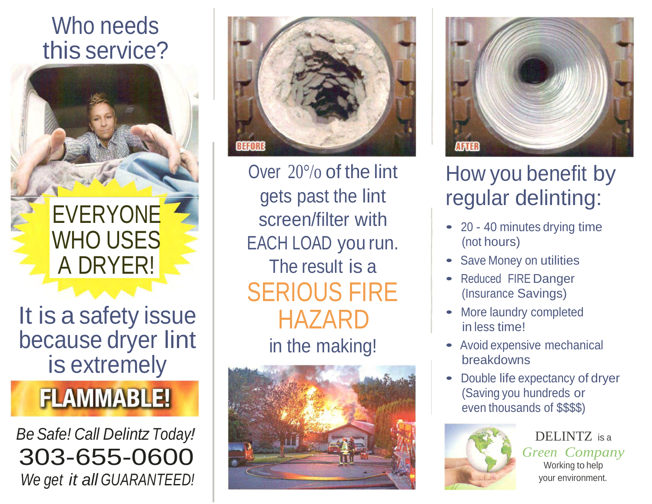### Who needs this service?



It is a safety issue because dryer lint is extremely

## **FLAMMABLE!**

*Be Safe! Call Delintz Today!* 303-655-0600 *We get it all GUARANTEED!*



Over 20°/o of the lint gets past the lint screen/filter with EACH LOAD you run. The result is a SERIOUS FIRE HAZARD in the making!





### How you benefit by regular delinting:

- <sup>20</sup> 40 minutes drying time (not hours)
- Save Money on utilities
- Reduced FIRE Danger (Insurance Savings)
- More laundry completed in less time!
- Avoid expensive mechanical breakdowns
- Double life expectancy of dryer (Saving you hundreds or even thousands of \$\$\$\$)



DELINTZ is <sup>a</sup> *Green Company*  Working to help your environment.